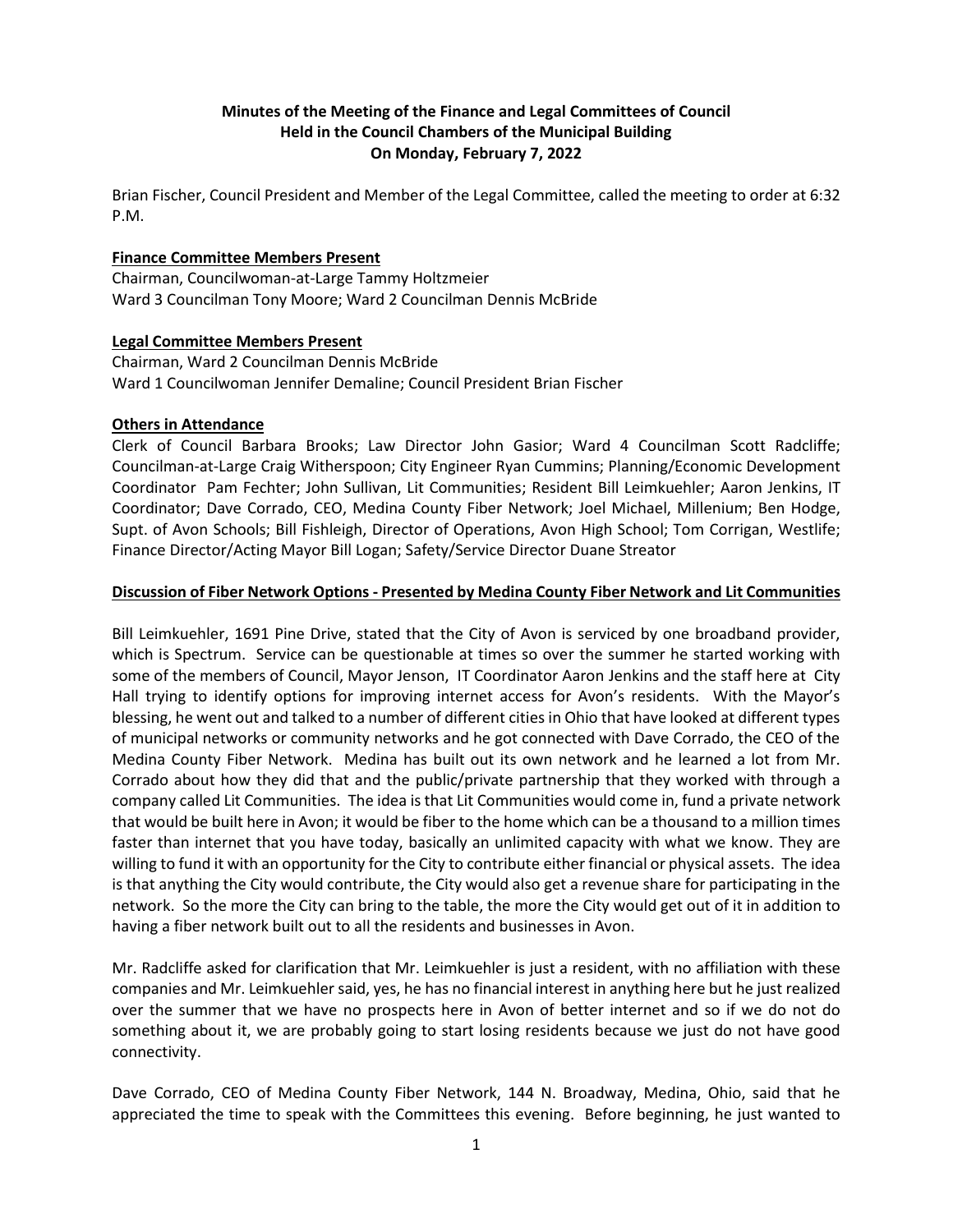# **Minutes of the Meeting of the Finance and Legal Committees of Council Held in the Council Chambers of the Municipal Building On Monday, February 7, 2022**

Brian Fischer, Council President and Member of the Legal Committee, called the meeting to order at 6:32 P.M.

### **Finance Committee Members Present**

Chairman, Councilwoman-at-Large Tammy Holtzmeier Ward 3 Councilman Tony Moore; Ward 2 Councilman Dennis McBride

### **Legal Committee Members Present**

Chairman, Ward 2 Councilman Dennis McBride Ward 1 Councilwoman Jennifer Demaline; Council President Brian Fischer

### **Others in Attendance**

Clerk of Council Barbara Brooks; Law Director John Gasior; Ward 4 Councilman Scott Radcliffe; Councilman-at-Large Craig Witherspoon; City Engineer Ryan Cummins; Planning/Economic Development Coordinator Pam Fechter; John Sullivan, Lit Communities; Resident Bill Leimkuehler; Aaron Jenkins, IT Coordinator; Dave Corrado, CEO, Medina County Fiber Network; Joel Michael, Millenium; Ben Hodge, Supt. of Avon Schools; Bill Fishleigh, Director of Operations, Avon High School; Tom Corrigan, Westlife; Finance Director/Acting Mayor Bill Logan; Safety/Service Director Duane Streator

## **Discussion of Fiber Network Options - Presented by Medina County Fiber Network and Lit Communities**

Bill Leimkuehler, 1691 Pine Drive, stated that the City of Avon is serviced by one broadband provider, which is Spectrum. Service can be questionable at times so over the summer he started working with some of the members of Council, Mayor Jenson, IT Coordinator Aaron Jenkins and the staff here at City Hall trying to identify options for improving internet access for Avon's residents. With the Mayor's blessing, he went out and talked to a number of different cities in Ohio that have looked at different types of municipal networks or community networks and he got connected with Dave Corrado, the CEO of the Medina County Fiber Network. Medina has built out its own network and he learned a lot from Mr. Corrado about how they did that and the public/private partnership that they worked with through a company called Lit Communities. The idea is that Lit Communities would come in, fund a private network that would be built here in Avon; it would be fiber to the home which can be a thousand to a million times faster than internet that you have today, basically an unlimited capacity with what we know. They are willing to fund it with an opportunity for the City to contribute either financial or physical assets. The idea is that anything the City would contribute, the City would also get a revenue share for participating in the network. So the more the City can bring to the table, the more the City would get out of it in addition to having a fiber network built out to all the residents and businesses in Avon.

Mr. Radcliffe asked for clarification that Mr. Leimkuehler is just a resident, with no affiliation with these companies and Mr. Leimkuehler said, yes, he has no financial interest in anything here but he just realized over the summer that we have no prospects here in Avon of better internet and so if we do not do something about it, we are probably going to start losing residents because we just do not have good connectivity.

Dave Corrado, CEO of Medina County Fiber Network, 144 N. Broadway, Medina, Ohio, said that he appreciated the time to speak with the Committees this evening. Before beginning, he just wanted to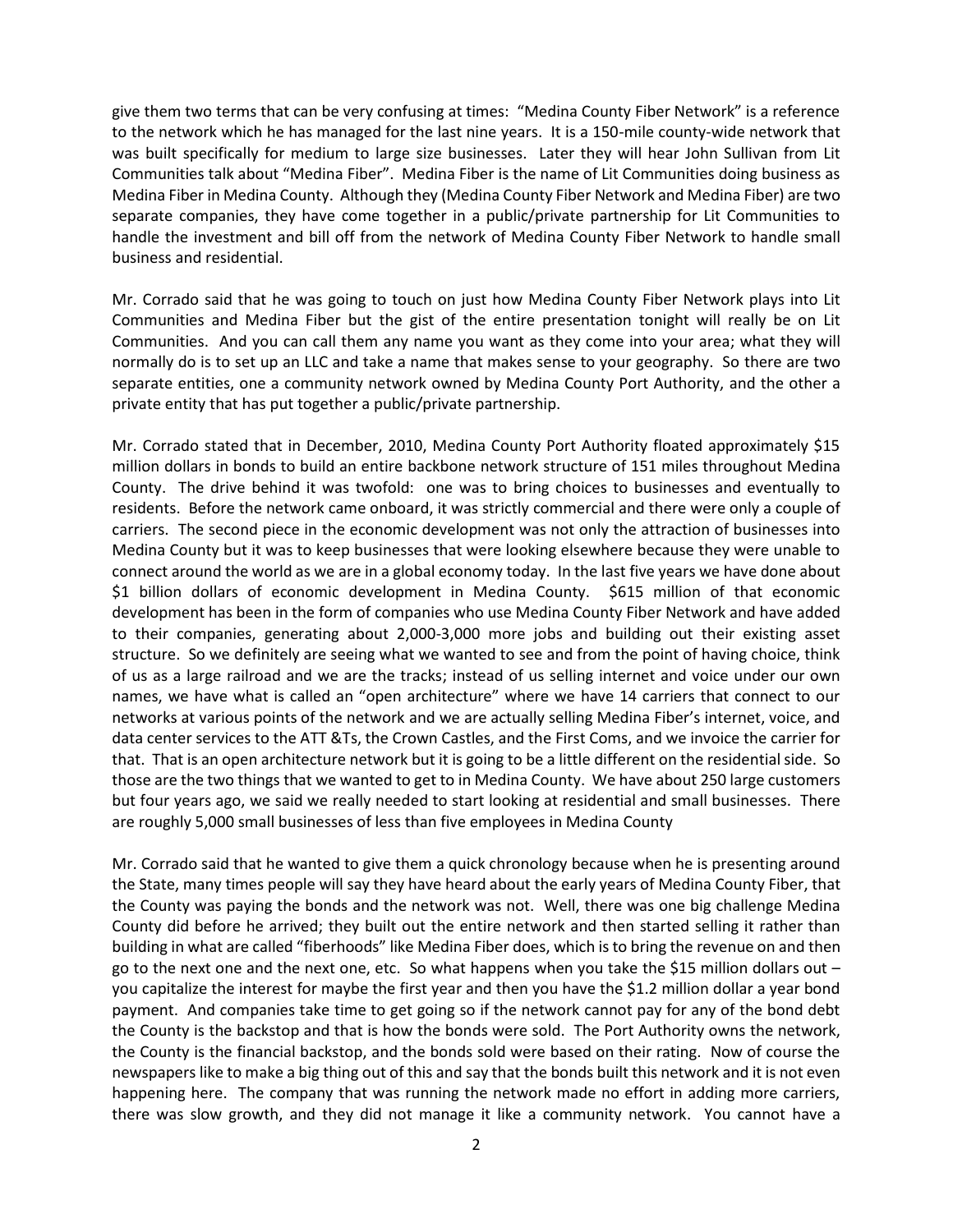give them two terms that can be very confusing at times: "Medina County Fiber Network" is a reference to the network which he has managed for the last nine years. It is a 150-mile county-wide network that was built specifically for medium to large size businesses. Later they will hear John Sullivan from Lit Communities talk about "Medina Fiber". Medina Fiber is the name of Lit Communities doing business as Medina Fiber in Medina County. Although they (Medina County Fiber Network and Medina Fiber) are two separate companies, they have come together in a public/private partnership for Lit Communities to handle the investment and bill off from the network of Medina County Fiber Network to handle small business and residential.

Mr. Corrado said that he was going to touch on just how Medina County Fiber Network plays into Lit Communities and Medina Fiber but the gist of the entire presentation tonight will really be on Lit Communities. And you can call them any name you want as they come into your area; what they will normally do is to set up an LLC and take a name that makes sense to your geography. So there are two separate entities, one a community network owned by Medina County Port Authority, and the other a private entity that has put together a public/private partnership.

Mr. Corrado stated that in December, 2010, Medina County Port Authority floated approximately \$15 million dollars in bonds to build an entire backbone network structure of 151 miles throughout Medina County. The drive behind it was twofold: one was to bring choices to businesses and eventually to residents. Before the network came onboard, it was strictly commercial and there were only a couple of carriers. The second piece in the economic development was not only the attraction of businesses into Medina County but it was to keep businesses that were looking elsewhere because they were unable to connect around the world as we are in a global economy today. In the last five years we have done about \$1 billion dollars of economic development in Medina County. \$615 million of that economic development has been in the form of companies who use Medina County Fiber Network and have added to their companies, generating about 2,000-3,000 more jobs and building out their existing asset structure. So we definitely are seeing what we wanted to see and from the point of having choice, think of us as a large railroad and we are the tracks; instead of us selling internet and voice under our own names, we have what is called an "open architecture" where we have 14 carriers that connect to our networks at various points of the network and we are actually selling Medina Fiber's internet, voice, and data center services to the ATT &Ts, the Crown Castles, and the First Coms, and we invoice the carrier for that. That is an open architecture network but it is going to be a little different on the residential side. So those are the two things that we wanted to get to in Medina County. We have about 250 large customers but four years ago, we said we really needed to start looking at residential and small businesses. There are roughly 5,000 small businesses of less than five employees in Medina County

Mr. Corrado said that he wanted to give them a quick chronology because when he is presenting around the State, many times people will say they have heard about the early years of Medina County Fiber, that the County was paying the bonds and the network was not. Well, there was one big challenge Medina County did before he arrived; they built out the entire network and then started selling it rather than building in what are called "fiberhoods" like Medina Fiber does, which is to bring the revenue on and then go to the next one and the next one, etc. So what happens when you take the \$15 million dollars out  $$ you capitalize the interest for maybe the first year and then you have the \$1.2 million dollar a year bond payment. And companies take time to get going so if the network cannot pay for any of the bond debt the County is the backstop and that is how the bonds were sold. The Port Authority owns the network, the County is the financial backstop, and the bonds sold were based on their rating. Now of course the newspapers like to make a big thing out of this and say that the bonds built this network and it is not even happening here. The company that was running the network made no effort in adding more carriers, there was slow growth, and they did not manage it like a community network. You cannot have a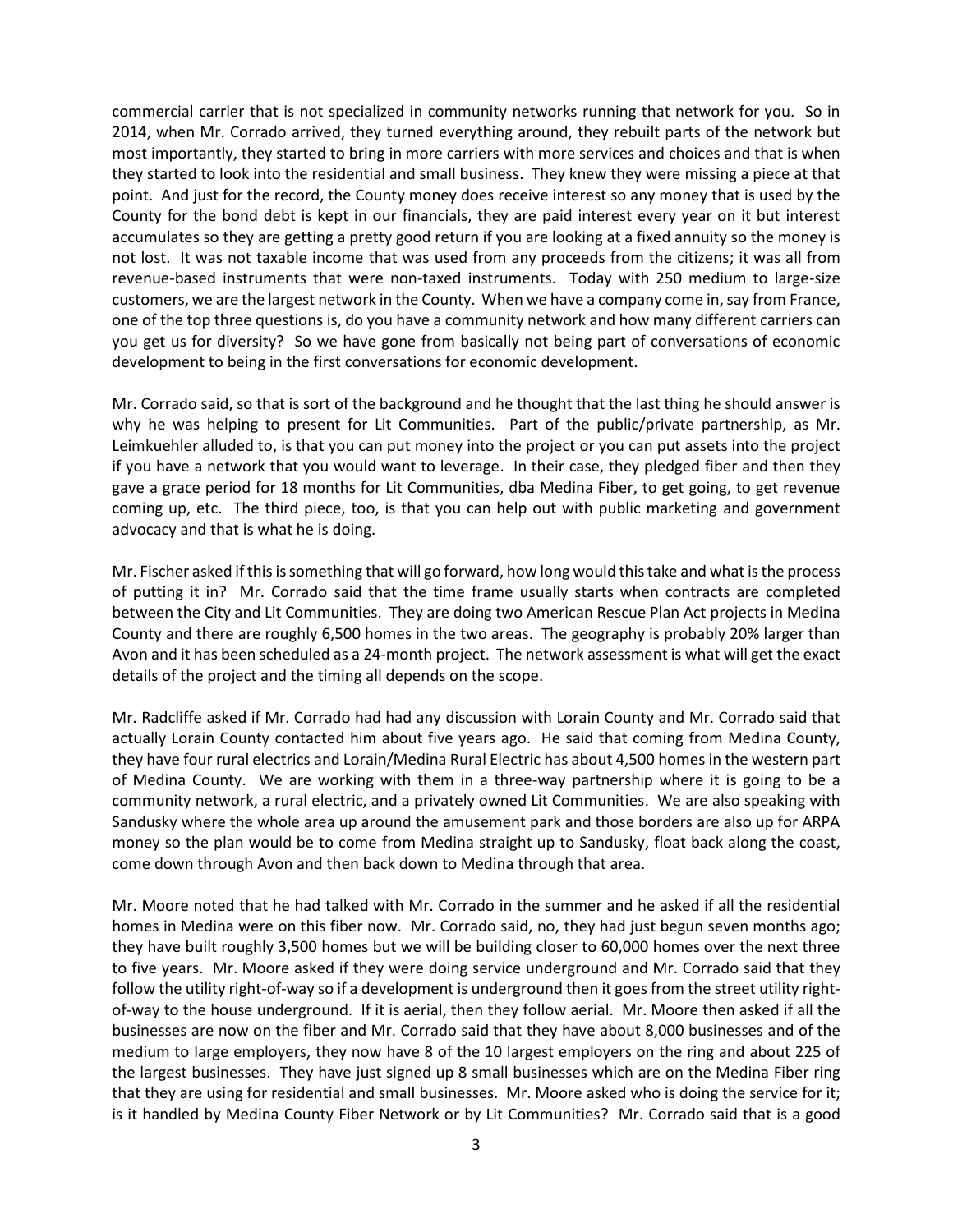commercial carrier that is not specialized in community networks running that network for you. So in 2014, when Mr. Corrado arrived, they turned everything around, they rebuilt parts of the network but most importantly, they started to bring in more carriers with more services and choices and that is when they started to look into the residential and small business. They knew they were missing a piece at that point. And just for the record, the County money does receive interest so any money that is used by the County for the bond debt is kept in our financials, they are paid interest every year on it but interest accumulates so they are getting a pretty good return if you are looking at a fixed annuity so the money is not lost. It was not taxable income that was used from any proceeds from the citizens; it was all from revenue-based instruments that were non-taxed instruments. Today with 250 medium to large-size customers, we are the largest network in the County. When we have a company come in, say from France, one of the top three questions is, do you have a community network and how many different carriers can you get us for diversity? So we have gone from basically not being part of conversations of economic development to being in the first conversations for economic development.

Mr. Corrado said, so that is sort of the background and he thought that the last thing he should answer is why he was helping to present for Lit Communities. Part of the public/private partnership, as Mr. Leimkuehler alluded to, is that you can put money into the project or you can put assets into the project if you have a network that you would want to leverage. In their case, they pledged fiber and then they gave a grace period for 18 months for Lit Communities, dba Medina Fiber, to get going, to get revenue coming up, etc. The third piece, too, is that you can help out with public marketing and government advocacy and that is what he is doing.

Mr. Fischer asked if this is something that will go forward, how long would this take and what is the process of putting it in? Mr. Corrado said that the time frame usually starts when contracts are completed between the City and Lit Communities. They are doing two American Rescue Plan Act projects in Medina County and there are roughly 6,500 homes in the two areas. The geography is probably 20% larger than Avon and it has been scheduled as a 24-month project. The network assessment is what will get the exact details of the project and the timing all depends on the scope.

Mr. Radcliffe asked if Mr. Corrado had had any discussion with Lorain County and Mr. Corrado said that actually Lorain County contacted him about five years ago. He said that coming from Medina County, they have four rural electrics and Lorain/Medina Rural Electric has about 4,500 homes in the western part of Medina County. We are working with them in a three-way partnership where it is going to be a community network, a rural electric, and a privately owned Lit Communities. We are also speaking with Sandusky where the whole area up around the amusement park and those borders are also up for ARPA money so the plan would be to come from Medina straight up to Sandusky, float back along the coast, come down through Avon and then back down to Medina through that area.

Mr. Moore noted that he had talked with Mr. Corrado in the summer and he asked if all the residential homes in Medina were on this fiber now. Mr. Corrado said, no, they had just begun seven months ago; they have built roughly 3,500 homes but we will be building closer to 60,000 homes over the next three to five years. Mr. Moore asked if they were doing service underground and Mr. Corrado said that they follow the utility right-of-way so if a development is underground then it goes from the street utility rightof-way to the house underground. If it is aerial, then they follow aerial. Mr. Moore then asked if all the businesses are now on the fiber and Mr. Corrado said that they have about 8,000 businesses and of the medium to large employers, they now have 8 of the 10 largest employers on the ring and about 225 of the largest businesses. They have just signed up 8 small businesses which are on the Medina Fiber ring that they are using for residential and small businesses. Mr. Moore asked who is doing the service for it; is it handled by Medina County Fiber Network or by Lit Communities? Mr. Corrado said that is a good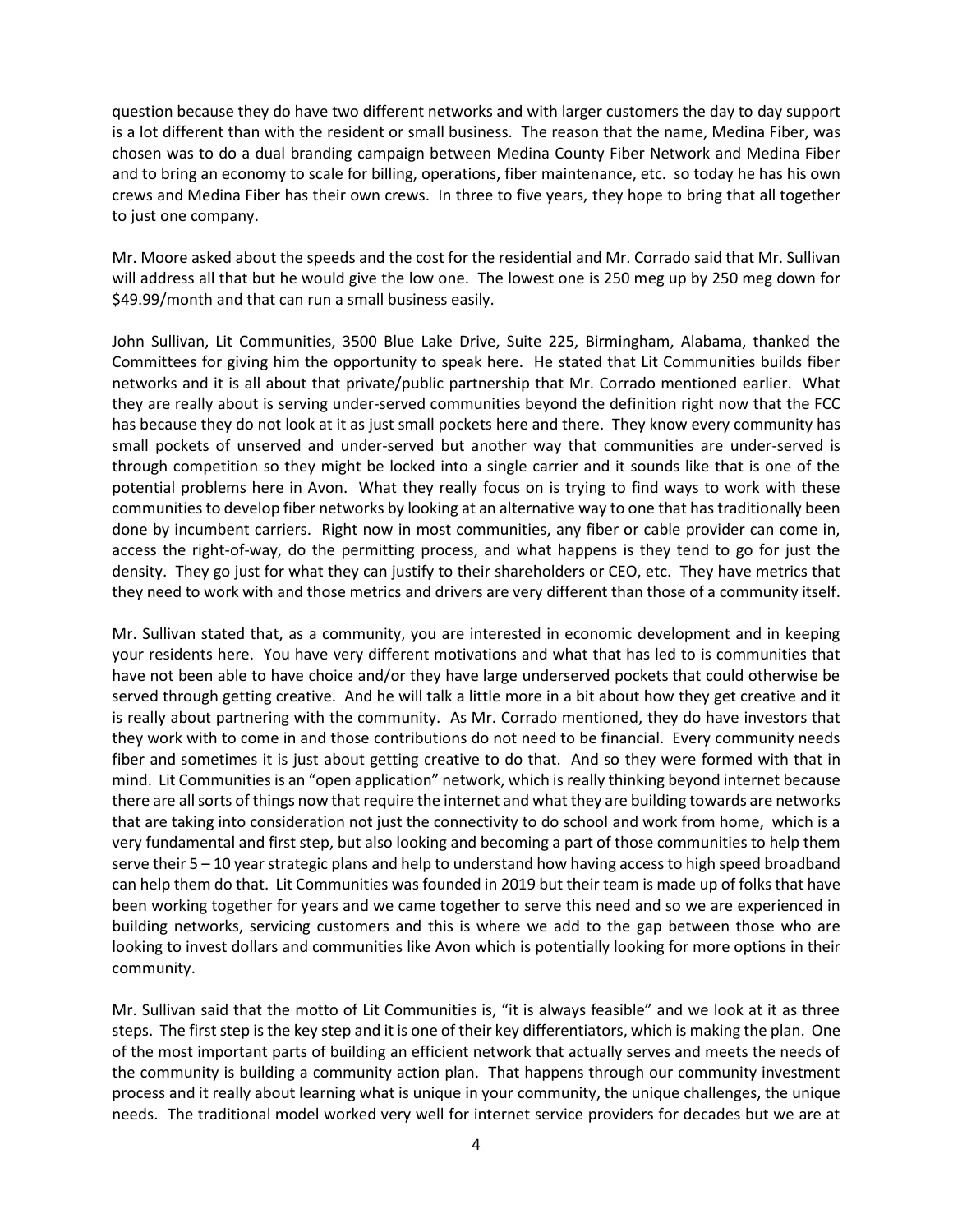question because they do have two different networks and with larger customers the day to day support is a lot different than with the resident or small business. The reason that the name, Medina Fiber, was chosen was to do a dual branding campaign between Medina County Fiber Network and Medina Fiber and to bring an economy to scale for billing, operations, fiber maintenance, etc. so today he has his own crews and Medina Fiber has their own crews. In three to five years, they hope to bring that all together to just one company.

Mr. Moore asked about the speeds and the cost for the residential and Mr. Corrado said that Mr. Sullivan will address all that but he would give the low one. The lowest one is 250 meg up by 250 meg down for \$49.99/month and that can run a small business easily.

John Sullivan, Lit Communities, 3500 Blue Lake Drive, Suite 225, Birmingham, Alabama, thanked the Committees for giving him the opportunity to speak here. He stated that Lit Communities builds fiber networks and it is all about that private/public partnership that Mr. Corrado mentioned earlier. What they are really about is serving under-served communities beyond the definition right now that the FCC has because they do not look at it as just small pockets here and there. They know every community has small pockets of unserved and under-served but another way that communities are under-served is through competition so they might be locked into a single carrier and it sounds like that is one of the potential problems here in Avon. What they really focus on is trying to find ways to work with these communities to develop fiber networks by looking at an alternative way to one that has traditionally been done by incumbent carriers. Right now in most communities, any fiber or cable provider can come in, access the right-of-way, do the permitting process, and what happens is they tend to go for just the density. They go just for what they can justify to their shareholders or CEO, etc. They have metrics that they need to work with and those metrics and drivers are very different than those of a community itself.

Mr. Sullivan stated that, as a community, you are interested in economic development and in keeping your residents here. You have very different motivations and what that has led to is communities that have not been able to have choice and/or they have large underserved pockets that could otherwise be served through getting creative. And he will talk a little more in a bit about how they get creative and it is really about partnering with the community. As Mr. Corrado mentioned, they do have investors that they work with to come in and those contributions do not need to be financial. Every community needs fiber and sometimes it is just about getting creative to do that. And so they were formed with that in mind. Lit Communities is an "open application" network, which is really thinking beyond internet because there are all sorts of things now that require the internet and what they are building towards are networks that are taking into consideration not just the connectivity to do school and work from home, which is a very fundamental and first step, but also looking and becoming a part of those communities to help them serve their 5 – 10 year strategic plans and help to understand how having access to high speed broadband can help them do that. Lit Communities was founded in 2019 but their team is made up of folks that have been working together for years and we came together to serve this need and so we are experienced in building networks, servicing customers and this is where we add to the gap between those who are looking to invest dollars and communities like Avon which is potentially looking for more options in their community.

Mr. Sullivan said that the motto of Lit Communities is, "it is always feasible" and we look at it as three steps. The first step is the key step and it is one of their key differentiators, which is making the plan. One of the most important parts of building an efficient network that actually serves and meets the needs of the community is building a community action plan. That happens through our community investment process and it really about learning what is unique in your community, the unique challenges, the unique needs. The traditional model worked very well for internet service providers for decades but we are at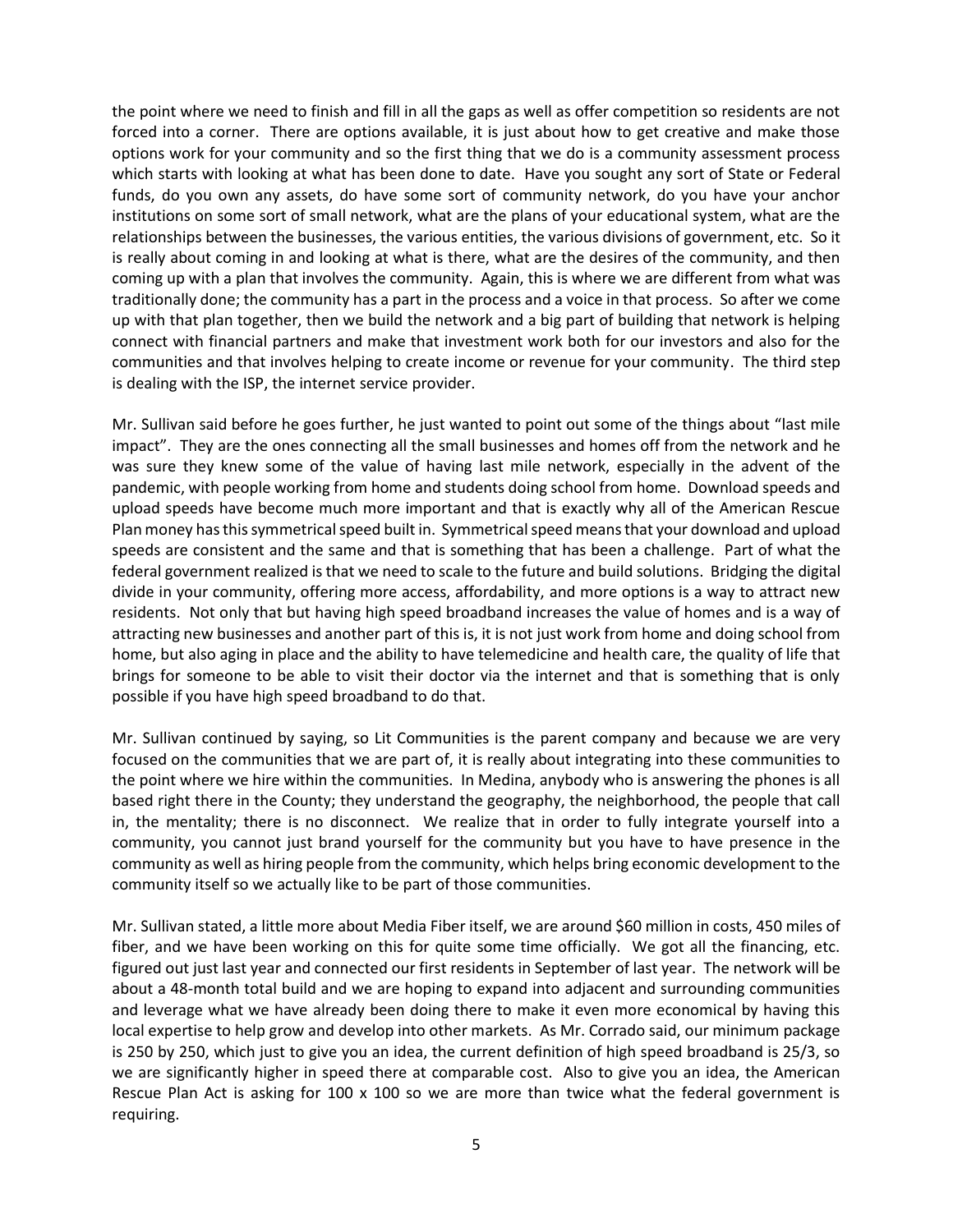the point where we need to finish and fill in all the gaps as well as offer competition so residents are not forced into a corner. There are options available, it is just about how to get creative and make those options work for your community and so the first thing that we do is a community assessment process which starts with looking at what has been done to date. Have you sought any sort of State or Federal funds, do you own any assets, do have some sort of community network, do you have your anchor institutions on some sort of small network, what are the plans of your educational system, what are the relationships between the businesses, the various entities, the various divisions of government, etc. So it is really about coming in and looking at what is there, what are the desires of the community, and then coming up with a plan that involves the community. Again, this is where we are different from what was traditionally done; the community has a part in the process and a voice in that process. So after we come up with that plan together, then we build the network and a big part of building that network is helping connect with financial partners and make that investment work both for our investors and also for the communities and that involves helping to create income or revenue for your community. The third step is dealing with the ISP, the internet service provider.

Mr. Sullivan said before he goes further, he just wanted to point out some of the things about "last mile impact". They are the ones connecting all the small businesses and homes off from the network and he was sure they knew some of the value of having last mile network, especially in the advent of the pandemic, with people working from home and students doing school from home. Download speeds and upload speeds have become much more important and that is exactly why all of the American Rescue Plan money has this symmetrical speed built in. Symmetrical speed means that your download and upload speeds are consistent and the same and that is something that has been a challenge. Part of what the federal government realized is that we need to scale to the future and build solutions. Bridging the digital divide in your community, offering more access, affordability, and more options is a way to attract new residents. Not only that but having high speed broadband increases the value of homes and is a way of attracting new businesses and another part of this is, it is not just work from home and doing school from home, but also aging in place and the ability to have telemedicine and health care, the quality of life that brings for someone to be able to visit their doctor via the internet and that is something that is only possible if you have high speed broadband to do that.

Mr. Sullivan continued by saying, so Lit Communities is the parent company and because we are very focused on the communities that we are part of, it is really about integrating into these communities to the point where we hire within the communities. In Medina, anybody who is answering the phones is all based right there in the County; they understand the geography, the neighborhood, the people that call in, the mentality; there is no disconnect. We realize that in order to fully integrate yourself into a community, you cannot just brand yourself for the community but you have to have presence in the community as well as hiring people from the community, which helps bring economic development to the community itself so we actually like to be part of those communities.

Mr. Sullivan stated, a little more about Media Fiber itself, we are around \$60 million in costs, 450 miles of fiber, and we have been working on this for quite some time officially. We got all the financing, etc. figured out just last year and connected our first residents in September of last year. The network will be about a 48-month total build and we are hoping to expand into adjacent and surrounding communities and leverage what we have already been doing there to make it even more economical by having this local expertise to help grow and develop into other markets. As Mr. Corrado said, our minimum package is 250 by 250, which just to give you an idea, the current definition of high speed broadband is 25/3, so we are significantly higher in speed there at comparable cost. Also to give you an idea, the American Rescue Plan Act is asking for 100 x 100 so we are more than twice what the federal government is requiring.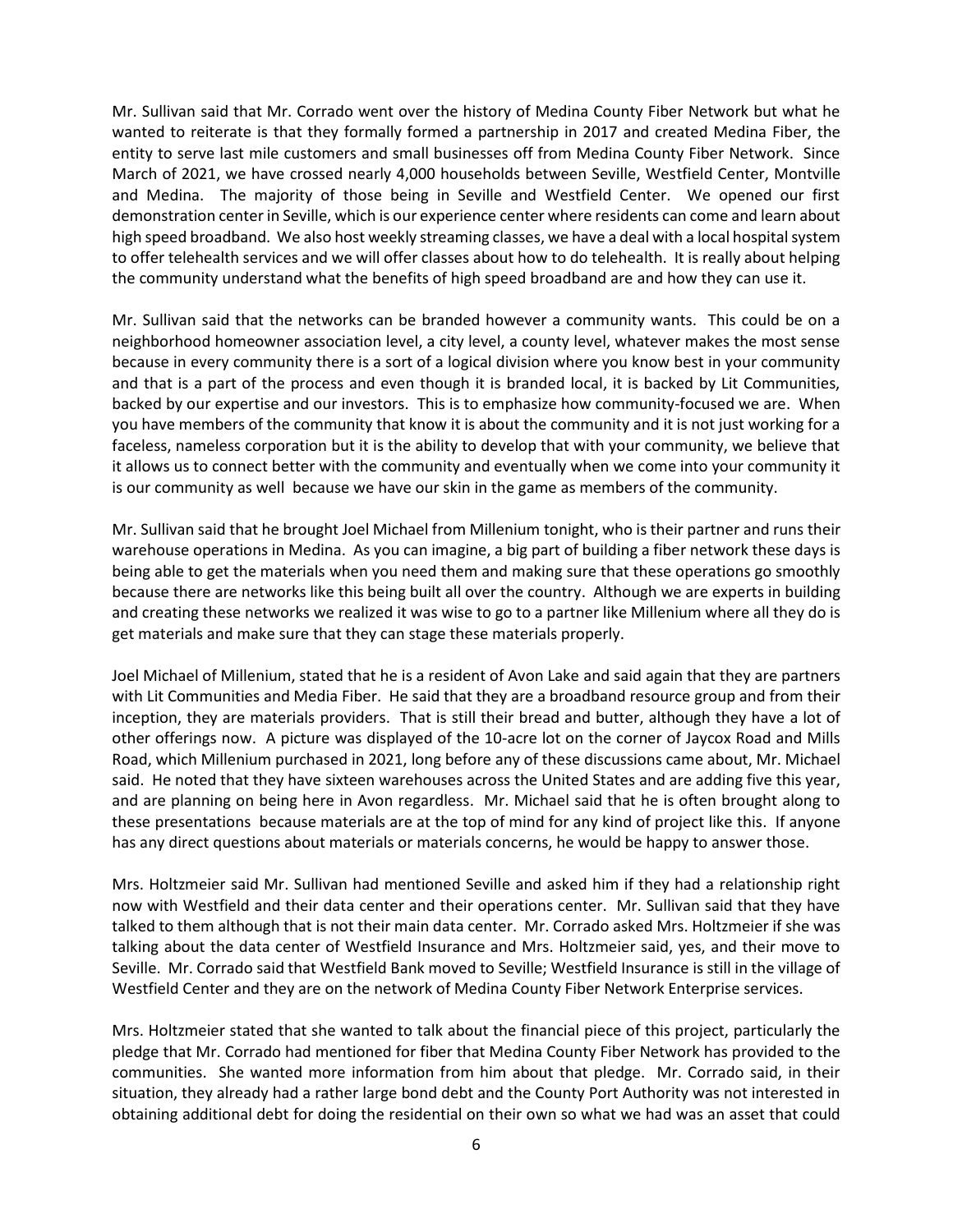Mr. Sullivan said that Mr. Corrado went over the history of Medina County Fiber Network but what he wanted to reiterate is that they formally formed a partnership in 2017 and created Medina Fiber, the entity to serve last mile customers and small businesses off from Medina County Fiber Network. Since March of 2021, we have crossed nearly 4,000 households between Seville, Westfield Center, Montville and Medina. The majority of those being in Seville and Westfield Center. We opened our first demonstration center in Seville, which is our experience center where residents can come and learn about high speed broadband. We also host weekly streaming classes, we have a deal with a local hospital system to offer telehealth services and we will offer classes about how to do telehealth. It is really about helping the community understand what the benefits of high speed broadband are and how they can use it.

Mr. Sullivan said that the networks can be branded however a community wants. This could be on a neighborhood homeowner association level, a city level, a county level, whatever makes the most sense because in every community there is a sort of a logical division where you know best in your community and that is a part of the process and even though it is branded local, it is backed by Lit Communities, backed by our expertise and our investors. This is to emphasize how community-focused we are. When you have members of the community that know it is about the community and it is not just working for a faceless, nameless corporation but it is the ability to develop that with your community, we believe that it allows us to connect better with the community and eventually when we come into your community it is our community as well because we have our skin in the game as members of the community.

Mr. Sullivan said that he brought Joel Michael from Millenium tonight, who is their partner and runs their warehouse operations in Medina. As you can imagine, a big part of building a fiber network these days is being able to get the materials when you need them and making sure that these operations go smoothly because there are networks like this being built all over the country. Although we are experts in building and creating these networks we realized it was wise to go to a partner like Millenium where all they do is get materials and make sure that they can stage these materials properly.

Joel Michael of Millenium, stated that he is a resident of Avon Lake and said again that they are partners with Lit Communities and Media Fiber. He said that they are a broadband resource group and from their inception, they are materials providers. That is still their bread and butter, although they have a lot of other offerings now. A picture was displayed of the 10-acre lot on the corner of Jaycox Road and Mills Road, which Millenium purchased in 2021, long before any of these discussions came about, Mr. Michael said. He noted that they have sixteen warehouses across the United States and are adding five this year, and are planning on being here in Avon regardless. Mr. Michael said that he is often brought along to these presentations because materials are at the top of mind for any kind of project like this. If anyone has any direct questions about materials or materials concerns, he would be happy to answer those.

Mrs. Holtzmeier said Mr. Sullivan had mentioned Seville and asked him if they had a relationship right now with Westfield and their data center and their operations center. Mr. Sullivan said that they have talked to them although that is not their main data center. Mr. Corrado asked Mrs. Holtzmeier if she was talking about the data center of Westfield Insurance and Mrs. Holtzmeier said, yes, and their move to Seville. Mr. Corrado said that Westfield Bank moved to Seville; Westfield Insurance is still in the village of Westfield Center and they are on the network of Medina County Fiber Network Enterprise services.

Mrs. Holtzmeier stated that she wanted to talk about the financial piece of this project, particularly the pledge that Mr. Corrado had mentioned for fiber that Medina County Fiber Network has provided to the communities. She wanted more information from him about that pledge. Mr. Corrado said, in their situation, they already had a rather large bond debt and the County Port Authority was not interested in obtaining additional debt for doing the residential on their own so what we had was an asset that could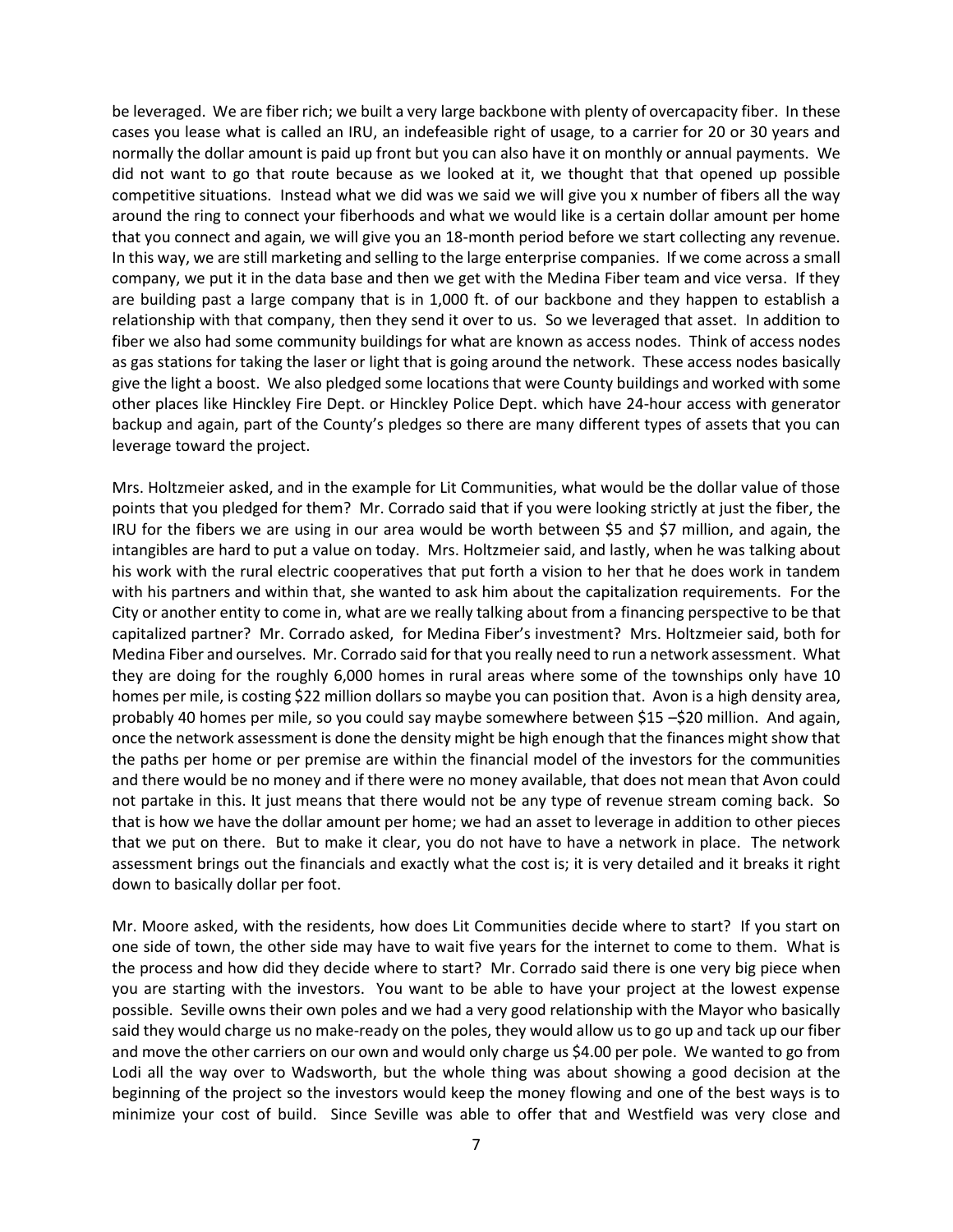be leveraged. We are fiber rich; we built a very large backbone with plenty of overcapacity fiber. In these cases you lease what is called an IRU, an indefeasible right of usage, to a carrier for 20 or 30 years and normally the dollar amount is paid up front but you can also have it on monthly or annual payments. We did not want to go that route because as we looked at it, we thought that that opened up possible competitive situations. Instead what we did was we said we will give you x number of fibers all the way around the ring to connect your fiberhoods and what we would like is a certain dollar amount per home that you connect and again, we will give you an 18-month period before we start collecting any revenue. In this way, we are still marketing and selling to the large enterprise companies. If we come across a small company, we put it in the data base and then we get with the Medina Fiber team and vice versa. If they are building past a large company that is in 1,000 ft. of our backbone and they happen to establish a relationship with that company, then they send it over to us. So we leveraged that asset. In addition to fiber we also had some community buildings for what are known as access nodes. Think of access nodes as gas stations for taking the laser or light that is going around the network. These access nodes basically give the light a boost. We also pledged some locations that were County buildings and worked with some other places like Hinckley Fire Dept. or Hinckley Police Dept. which have 24-hour access with generator backup and again, part of the County's pledges so there are many different types of assets that you can leverage toward the project.

Mrs. Holtzmeier asked, and in the example for Lit Communities, what would be the dollar value of those points that you pledged for them? Mr. Corrado said that if you were looking strictly at just the fiber, the IRU for the fibers we are using in our area would be worth between \$5 and \$7 million, and again, the intangibles are hard to put a value on today. Mrs. Holtzmeier said, and lastly, when he was talking about his work with the rural electric cooperatives that put forth a vision to her that he does work in tandem with his partners and within that, she wanted to ask him about the capitalization requirements. For the City or another entity to come in, what are we really talking about from a financing perspective to be that capitalized partner? Mr. Corrado asked, for Medina Fiber's investment? Mrs. Holtzmeier said, both for Medina Fiber and ourselves. Mr. Corrado said for that you really need to run a network assessment. What they are doing for the roughly 6,000 homes in rural areas where some of the townships only have 10 homes per mile, is costing \$22 million dollars so maybe you can position that. Avon is a high density area, probably 40 homes per mile, so you could say maybe somewhere between \$15 –\$20 million. And again, once the network assessment is done the density might be high enough that the finances might show that the paths per home or per premise are within the financial model of the investors for the communities and there would be no money and if there were no money available, that does not mean that Avon could not partake in this. It just means that there would not be any type of revenue stream coming back. So that is how we have the dollar amount per home; we had an asset to leverage in addition to other pieces that we put on there. But to make it clear, you do not have to have a network in place. The network assessment brings out the financials and exactly what the cost is; it is very detailed and it breaks it right down to basically dollar per foot.

Mr. Moore asked, with the residents, how does Lit Communities decide where to start? If you start on one side of town, the other side may have to wait five years for the internet to come to them. What is the process and how did they decide where to start? Mr. Corrado said there is one very big piece when you are starting with the investors. You want to be able to have your project at the lowest expense possible. Seville owns their own poles and we had a very good relationship with the Mayor who basically said they would charge us no make-ready on the poles, they would allow us to go up and tack up our fiber and move the other carriers on our own and would only charge us \$4.00 per pole. We wanted to go from Lodi all the way over to Wadsworth, but the whole thing was about showing a good decision at the beginning of the project so the investors would keep the money flowing and one of the best ways is to minimize your cost of build. Since Seville was able to offer that and Westfield was very close and